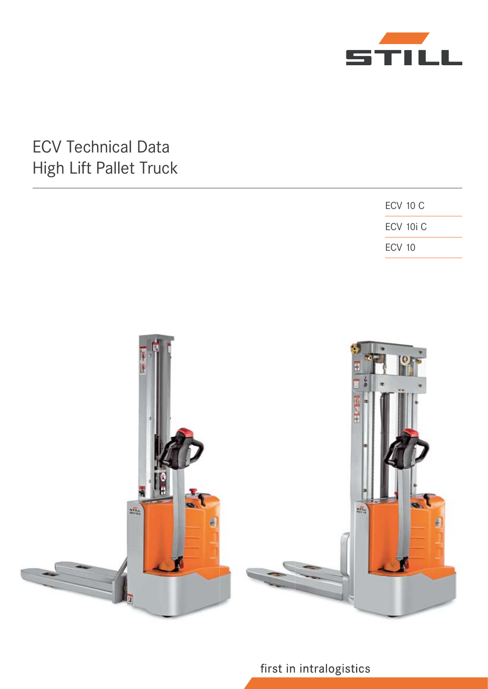

# ECV Technical Data High Lift Pallet Truck

|                   | <b>ECV 10 C</b> |
|-------------------|-----------------|
|                   | ECV 10i C       |
| ECV <sub>10</sub> |                 |



first in intralogistics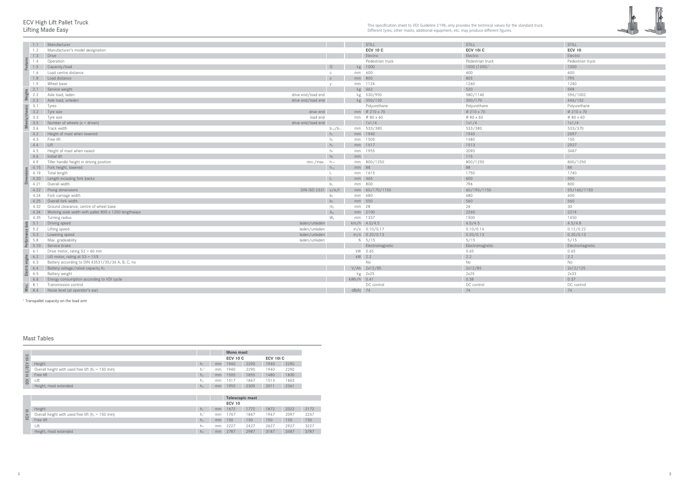## ECV High Lift Pallet Truck Lifting Made Easy

This specification sheet to VDI Guideline 2198, only provides the technical values for the standard truck. Different tyres, other masts, additional equipment, etc. may produce different figures.

|             |                                                      |                |    | <b>Mono mast</b>       |      |           |      |  |  |
|-------------|------------------------------------------------------|----------------|----|------------------------|------|-----------|------|--|--|
| 10i C       |                                                      |                |    | <b>ECV 10 C</b>        |      | ECV 10i C |      |  |  |
|             | Height                                               | $h_1$          | mm | 1940                   | 2290 | 1940      | 2290 |  |  |
| 10 C / ECV  | Overall height with used free lift ( $h_3 = 150$ mm) | h.             | mm | 1940                   | 2290 | 1940      | 2290 |  |  |
|             | Free lift                                            | h <sub>2</sub> | mm | 1505                   | 1855 | 1480      | 1830 |  |  |
| ECV         | Lift                                                 | $h_3$          | mm | 1517                   | 1867 | 1513      | 1863 |  |  |
|             | Height, mast extended                                | $h_4$          | mm | 1955                   | 2305 | 2011      | 2361 |  |  |
|             |                                                      |                |    |                        |      |           |      |  |  |
|             |                                                      |                |    | <b>Telescopic mast</b> |      |           |      |  |  |
|             |                                                      |                |    | <b>ECV 10</b>          |      |           |      |  |  |
| $\supseteq$ | Height                                               | $h_1$          | mm | 1672                   | 1772 | 1872      | 2022 |  |  |
| ECV         | Overall height with used free lift ( $h_3 = 150$ mm) | $h_1$          | mm | 747                    | 1847 | 1947      | 2097 |  |  |
|             | Free lift                                            | h <sub>2</sub> | mm | 150                    | 150  | 150       | 150  |  |  |
|             | Lift                                                 | $h_3$          | mm | 2227                   | 2427 | 2627      | 2927 |  |  |
|             | Height, mast extended                                | $h_4$          | mm | 2787                   | 2987 | 3187      | 3487 |  |  |



| <b>STILL</b>             |
|--------------------------|
| <b>ECV 10</b>            |
| Electric                 |
| Pedestrian truck         |
| 1000                     |
| 600                      |
| 795                      |
| 1240                     |
| 598                      |
| 596/1002                 |
| 446/152                  |
| Polyurethane             |
| Ø 210 x 70               |
| $\varnothing$ 80 x 60    |
| 1x1/4                    |
| 533/370                  |
| 2097                     |
| 150                      |
| 2927                     |
| 3487                     |
| $\overline{\phantom{0}}$ |
| 800/1250                 |
| 88                       |
| 1740                     |
| 590                      |
| 800                      |
| 55/160/1150              |
| 600                      |
| 560                      |
| 30                       |
| 2219                     |
| 1450                     |
| 4.5/4.8                  |
| 0.12/0.22                |
| 0.20/0.13                |
| 5/15                     |
| Electromagnetic          |
| 0.65                     |
| 2.2                      |
| No                       |
| 2x12/125                 |
| 2x33                     |
| 0.37                     |
| DC control               |
| 74                       |

|  |                      | 1.1 Manufacturer                                               |                 |              | STILL            | STILL                    | STILL              |
|--|----------------------|----------------------------------------------------------------|-----------------|--------------|------------------|--------------------------|--------------------|
|  | 1.2                  | Manufacturer's model designation                               |                 |              | <b>ECV 10 C</b>  | ECV 10i C                | <b>ECV 10</b>      |
|  |                      | 1.3 Drive                                                      |                 |              | Electric         | Electric                 | Electric           |
|  | 1.4                  | Operation                                                      |                 |              | Pedestrian truck | Pedestrian truck         | Pedestrian truck   |
|  | 1.5                  | Capacity/load                                                  | $\Omega$        |              | kg 1000          | 1000 (1200) <sup>1</sup> | 1000               |
|  | 1.6                  | Load centre distance                                           | $\mathbb{C}$    | mm           | 600              | 600                      | 600                |
|  | 1.8                  | Load distance                                                  | $\times$        |              | mm 805           | 805                      | 795                |
|  | 1.9                  | Wheel base                                                     | $\vee$          |              | mm 1126          | 1260                     | 1240               |
|  | 2.1                  | Service weight                                                 |                 |              | kg 462           | 520                      | 598                |
|  | 2.2                  | Axle load, laden<br>drive end/load end                         |                 |              | kg 530/950       | 580/1140                 | 596/1002           |
|  | 2.3                  | Axle load, unladen<br>drive end/load end                       |                 |              | kg 350/120       | 350/170                  | 446/152            |
|  | 3.1                  | Tyres                                                          |                 |              | Polyurethane     | Polyurethane             | Polyurethane       |
|  | 3.2                  | Tyre size<br>drive end                                         |                 |              |                  | $\phi$ 210 x 70          | $\varphi$ 210 x 70 |
|  | 3.3                  | Tyre size<br>load end                                          |                 |              | mm Ø 80 x 60     | $\varphi$ 80 x 60        | $\varphi$ 80 x 60  |
|  | 3.5                  | Number of wheels $(x =$ driven)<br>drive end/load end          |                 |              | 1x1/4            | 1x1/4                    | 1x1/4              |
|  | 3.6                  | Track width                                                    | $b_{10}/b_{11}$ |              | mm 533/380       | 533/380                  | 533/370            |
|  | 4.2                  | Height of mast when lowered                                    | $h_1$           |              | mm 1940          | 1940                     | 2097               |
|  | 4.3                  | Free lift                                                      | h <sub>2</sub>  | mm           | 1505             | 1480                     | 150                |
|  | 4.4                  | Lift                                                           | $h_3$           |              | mm 1517          | 1513                     | 2927               |
|  | 4.5                  | Height of mast when raised                                     | $h_4$           |              | mm 1955          | 2090                     | 3487               |
|  |                      | 4.6 Initial lift                                               | h <sub>5</sub>  | $mm -$       |                  | 115                      |                    |
|  | 4.9                  | Tiller handle height in driving position<br>min./max. $h_{14}$ |                 |              | mm 800/1250      | 800/1250                 | 800/1250           |
|  |                      | 4.15 Fork height, lowered                                      | $h_{13}$        | $mm$ 88      |                  | 88                       | 88                 |
|  | 4.19                 | Total length                                                   | $\vert$         |              | mm 1615          | 1750                     | 1740               |
|  |                      | 4.20 Length including fork backs                               | $\vert_2$       |              | mm 465           | 600                      | 590                |
|  | 4.21                 | Overall width                                                  | $b_1$           |              | mm 800           | 796                      | 800                |
|  |                      | DIN ISO 2331 s/e/l<br>4.22 Prong dimensions                    |                 |              | mm 60/170/1150   | 60/190/1150              | 55/160/1150        |
|  | 4.24                 | Fork carriage width                                            | $b_3$           |              | mm 680           | 680                      | 600                |
|  |                      | 4.25 Overall fork width                                        | b <sub>5</sub>  |              | mm 550           | 560                      | 560                |
|  | 4.32                 | Ground clearance, centre of wheel base                         | m <sub>2</sub>  | mm 28        |                  | 26                       | 30                 |
|  |                      | 4.34 Working aisle width with pallet 800 x 1200 lengthways     | $A_{\rm st}$    |              | mm 2100          | 2260                     | 2219               |
|  | 4.35                 | Turning radius                                                 | $W_{a}$         | mm           | 1337             | 1500                     | 1450               |
|  | 5.1                  | Driving speed<br>laden/unladen                                 |                 |              | $km/h$ 4.0/4.5   | 4.0/4.5                  | 4.5/4.8            |
|  | 5.2                  | Lifting speed<br>laden/unladen                                 |                 |              | $m/s$ 0.10/0.17  | 0.10/0.14                | 0.12/0.22          |
|  | 5.3                  | Lowering speed<br>laden/unladen                                |                 |              | $m/s$ 0.20/0.13  | 0.20/0.13                | 0.20/0.13          |
|  | 5.8                  | Max. gradeability<br>laden/unladen                             |                 |              | % 5/15           | 5/15                     | 5/15               |
|  |                      | 5.10 Service brake                                             |                 |              | Electromagnetic  | Electromagnetic          | Electromagnetic    |
|  | 6.1                  | Drive motor, rating $S2 = 60$ min                              |                 |              | kW 0.65          | 0.65                     | 0.65               |
|  | 6.2                  | Lift motor, rating at $S3 = 15\%$                              |                 |              | $kW$ 2.2         | 2.2                      | 2.2                |
|  | 6.3                  | Battery according to DIN 43531/35/36 A, B, C, no               |                 |              | <b>No</b>        | No                       | No                 |
|  | 6.4                  | Battery voltage/rated capacity K <sub>5</sub>                  |                 |              | $V/Ah$ 2x12/85   | 2x12/85                  | 2x12/125           |
|  | 6.5                  | Battery weight                                                 |                 |              | kg 2x25          | 2x25                     | 2x33               |
|  | 6.6                  | Energy consumption according to VDI cycle                      |                 | $kWh/h$ 0.41 |                  | 0.38                     | 0.37               |
|  | 8.1                  | Transmission control                                           |                 |              | DC control       | DC control               | DC control         |
|  | $\overline{\ge}$ 8.4 | Noise level (at operator's ear)                                |                 | $dB(A)$ 74   |                  | 74                       | 74                 |
|  |                      |                                                                |                 |              |                  |                          |                    |

#### Mast Tables

1 Transpallet capacity on the load arm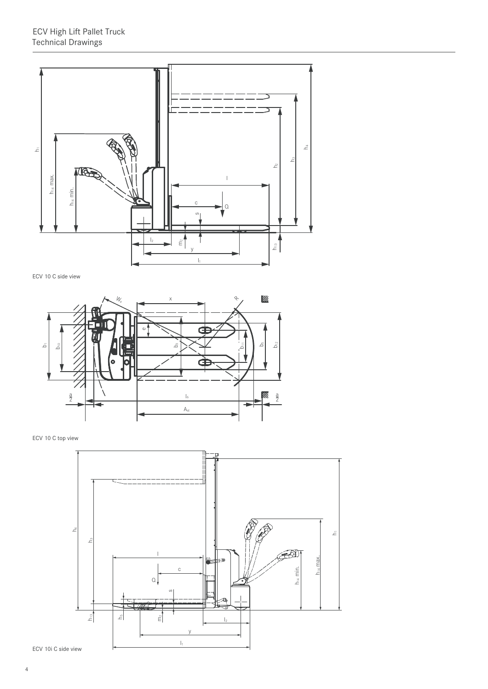

ECV 10 C side view



ECV 10 C top view



ECV 10i C side view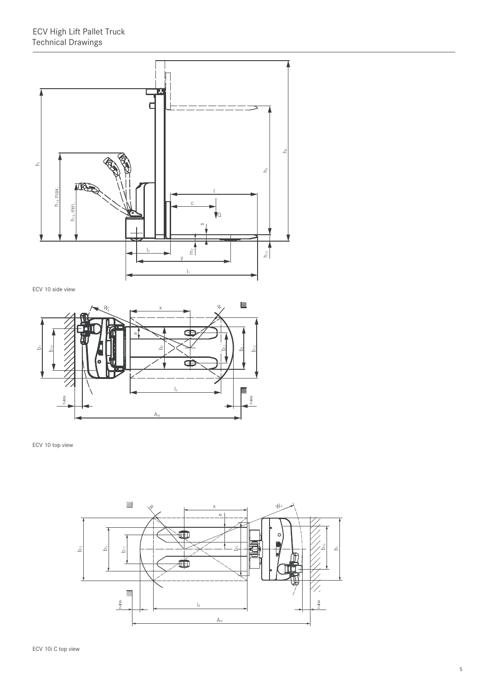

ECV 10 side view



ECV 10 top view

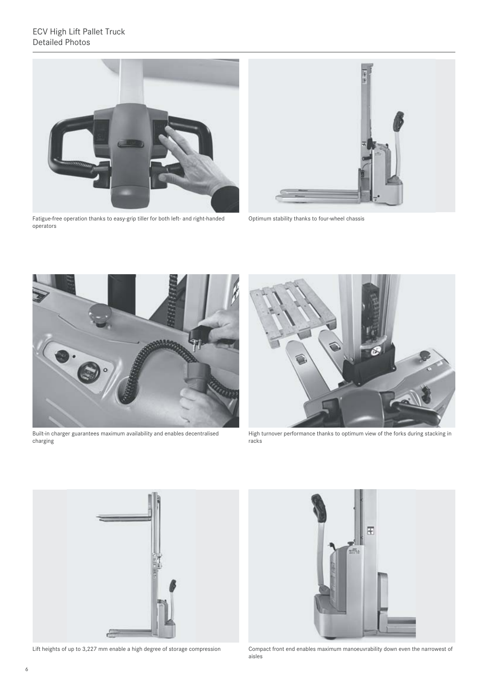## ECV High Lift Pallet Truck Detailed Photos



Fatigue-free operation thanks to easy-grip tiller for both left- and right-handed operators



Optimum stability thanks to four-wheel chassis



Built-in charger guarantees maximum availability and enables decentralised charging



High turnover performance thanks to optimum view of the forks during stacking in racks



Lift heights of up to 3,227 mm enable a high degree of storage compression



Compact front end enables maximum manoeuvrability down even the narrowest of aisles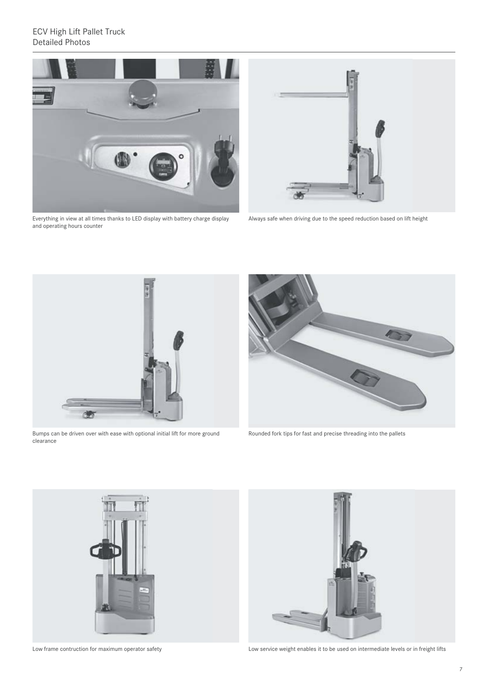## ECV High Lift Pallet Truck Detailed Photos



Everything in view at all times thanks to LED display with battery charge display and operating hours counter



Always safe when driving due to the speed reduction based on lift height



Bumps can be driven over with ease with optional initial lift for more ground clearance



Rounded fork tips for fast and precise threading into the pallets





Low frame contruction for maximum operator safety **Low service weight enables it to be used on intermediate levels or in freight lifts**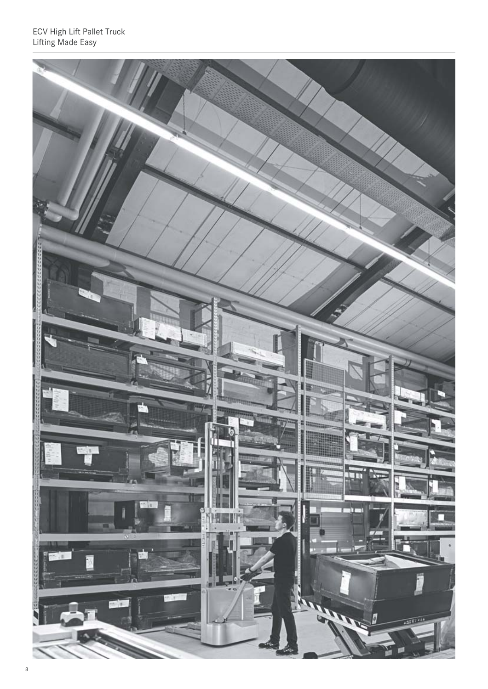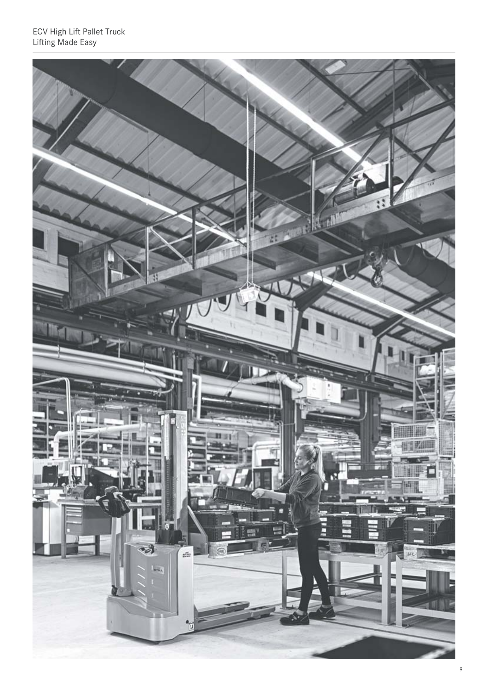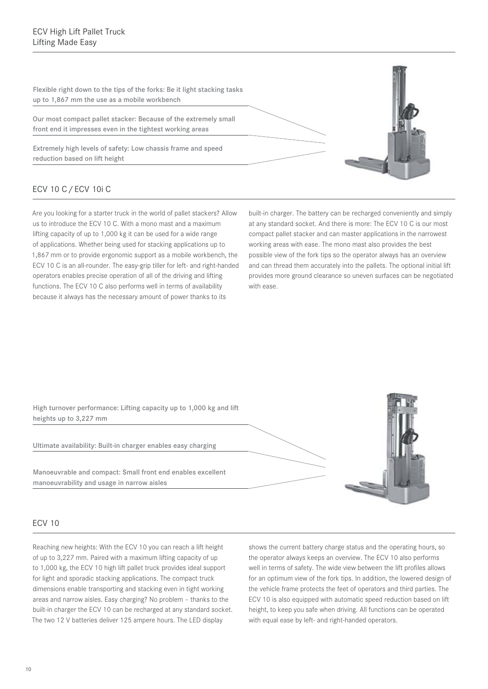Flexible right down to the tips of the forks: Be it light stacking tasks up to 1,867 mm the use as a mobile workbench

Our most compact pallet stacker: Because of the extremely small front end it impresses even in the tightest working areas

Extremely high levels of safety: Low chassis frame and speed reduction based on lift height

## ECV 10 C / ECV 10i C

Are you looking for a starter truck in the world of pallet stackers? Allow us to introduce the ECV 10 C. With a mono mast and a maximum lifting capacity of up to 1,000 kg it can be used for a wide range of applications. Whether being used for stacking applications up to 1,867 mm or to provide ergonomic support as a mobile workbench, the ECV 10 C is an all-rounder. The easy-grip tiller for left- and right-handed operators enables precise operation of all of the driving and lifting functions. The ECV 10 C also performs well in terms of availability because it always has the necessary amount of power thanks to its

built-in charger. The battery can be recharged conveniently and simply at any standard socket. And there is more: The ECV 10 C is our most compact pallet stacker and can master applications in the narrowest working areas with ease. The mono mast also provides the best possible view of the fork tips so the operator always has an overview and can thread them accurately into the pallets. The optional initial lift provides more ground clearance so uneven surfaces can be negotiated with ease.



#### ECV 10

Reaching new heights: With the ECV 10 you can reach a lift height of up to 3,227 mm. Paired with a maximum lifting capacity of up to 1,000 kg, the ECV 10 high lift pallet truck provides ideal support for light and sporadic stacking applications. The compact truck dimensions enable transporting and stacking even in tight working areas and narrow aisles. Easy charging? No problem – thanks to the built-in charger the ECV 10 can be recharged at any standard socket. The two 12 V batteries deliver 125 ampere hours. The LED display

shows the current battery charge status and the operating hours, so the operator always keeps an overview. The ECV 10 also performs well in terms of safety. The wide view between the lift profiles allows for an optimum view of the fork tips. In addition, the lowered design of the vehicle frame protects the feet of operators and third parties. The ECV 10 is also equipped with automatic speed reduction based on lift height, to keep you safe when driving. All functions can be operated with equal ease by left- and right-handed operators.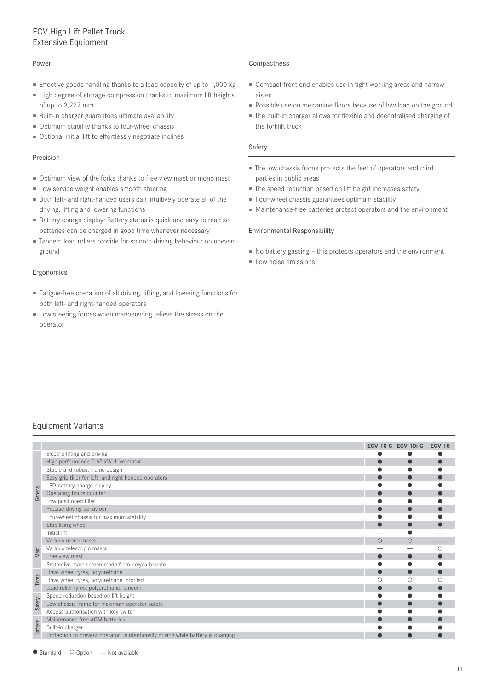### ECV High Lift Pallet Truck Extensive Equipment

#### Power

- Effective goods handling thanks to a load capacity of up to 1,000 kg
- High degree of storage compression thanks to maximum lift heights of up to 3,227 mm
- Built-in charger guarantees ultimate availability
- Optimum stability thanks to four-wheel chassis
- Optional initial lift to effortlessly negotiate inclines

#### Precision

- Optimum view of the forks thanks to free view mast or mono mast
- Low service weight enables smooth steering
- Both left- and right-handed users can intuitively operate all of the driving, lifting and lowering functions
- Battery charge display: Battery status is quick and easy to read so batteries can be charged in good time whenever necessary
- Tandem load rollers provide for smooth driving behaviour on uneven ground

#### Ergonomics

- Fatigue-free operation of all driving, lifting, and lowering functions for both left- and right-handed operators
- Low steering forces when manoeuvring relieve the stress on the operator

#### Compactness

- Compact front end enables use in tight working areas and narrow aisles
- Possible use on mezzanine floors because of low load on the ground
- The built-in charger allows for flexible and decentralised charging of the forklift truck

#### Safety

- The low chassis frame protects the feet of operators and third parties in public areas
- The speed reduction based on lift height increases safety
- Four-wheel chassis guarantees optimum stability
- Maintenance-free batteries protect operators and the environment

#### Environmental Responsibility

- No battery gassing this protects operators and the environment
- Low noise emissions

## Equipment Variants

|         |                                                                                  |           | ECV 10 C ECV 10i C | <b>ECV 10</b> |
|---------|----------------------------------------------------------------------------------|-----------|--------------------|---------------|
|         | Electric lifting and driving                                                     |           |                    |               |
|         | High performance 0.65 kW drive motor                                             |           |                    |               |
|         | Stable and robust frame design                                                   |           |                    |               |
|         | Easy-grip tiller for left- and right-handed operators                            |           |                    |               |
|         | LED battery charge display                                                       |           |                    |               |
| General | Operating hours counter                                                          |           |                    |               |
|         | Low positioned tiller                                                            |           |                    |               |
|         | Precise driving behaviour                                                        |           |                    |               |
|         | Four-wheel chassis for maximum stability                                         |           |                    |               |
|         | Stabilising wheel                                                                |           |                    |               |
|         | Initial lift                                                                     |           |                    |               |
|         | Various mono masts                                                               | $\circ$   | $\bigcirc$         |               |
| Mast    | Various telescopic masts                                                         |           |                    | ∩             |
|         | Free view mast                                                                   | $\bullet$ |                    |               |
|         | Protective mast screen made from polycarbonate                                   |           |                    |               |
|         | Drive wheel tyres, polyurethane                                                  |           |                    |               |
| Tyres   | Drive wheel tyres, polyurethane, profiled                                        | О         | $\bigcirc$         |               |
|         | Load roller tyres, polyurethane, tandem                                          |           |                    |               |
|         | Speed reduction based on lift height                                             |           |                    |               |
| Safety  | Low chassis frame for maximum operator safety                                    |           |                    |               |
|         | Access authorisation with key switch                                             |           |                    |               |
|         | Maintenance-free AGM batteries                                                   |           |                    |               |
| Battery | Built-in charger                                                                 |           |                    |               |
|         | Protection to prevent operator unintentionally driving while battery is charging |           |                    |               |